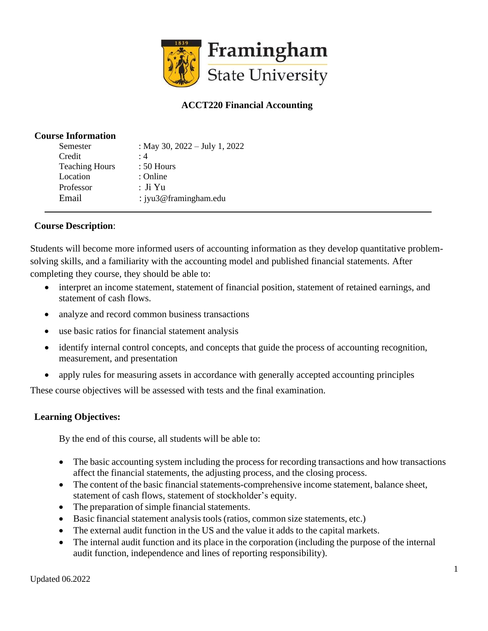

# **ACCT220 Financial Accounting**

## **Course Information**

| : May 30, $2022 - July 1, 2022$ |
|---------------------------------|
|                                 |
|                                 |
|                                 |
|                                 |
| : $j$ yu3@framingham.edu        |
|                                 |

# **Course Description**:

Students will become more informed users of accounting information as they develop quantitative problemsolving skills, and a familiarity with the accounting model and published financial statements. After completing they course, they should be able to:

- interpret an income statement, statement of financial position, statement of retained earnings, and statement of cash flows.
- analyze and record common business transactions
- use basic ratios for financial statement analysis
- identify internal control concepts, and concepts that guide the process of accounting recognition, measurement, and presentation
- apply rules for measuring assets in accordance with generally accepted accounting principles

These course objectives will be assessed with tests and the final examination.

# **Learning Objectives:**

By the end of this course, all students will be able to:

- The basic accounting system including the process for recording transactions and how transactions affect the financial statements, the adjusting process, and the closing process.
- The content of the basic financial statements-comprehensive income statement, balance sheet, statement of cash flows, statement of stockholder's equity.
- The preparation of simple financial statements.
- Basic financial statement analysis tools (ratios, common size statements, etc.)
- The external audit function in the US and the value it adds to the capital markets.
- The internal audit function and its place in the corporation (including the purpose of the internal audit function, independence and lines of reporting responsibility).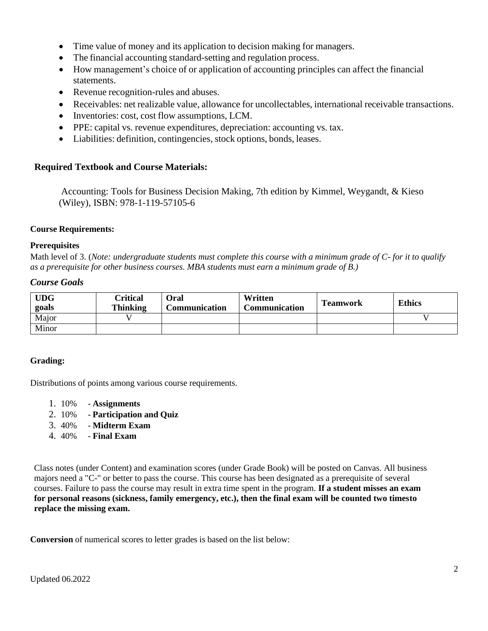- Time value of money and its application to decision making for managers.
- The financial accounting standard-setting and regulation process.
- How management's choice of or application of accounting principles can affect the financial statements.
- Revenue recognition-rules and abuses.
- Receivables: net realizable value, allowance for uncollectables, international receivable transactions.
- Inventories: cost, cost flow assumptions, LCM.
- PPE: capital vs. revenue expenditures, depreciation: accounting vs. tax.
- Liabilities: definition, contingencies, stock options, bonds, leases.

# **Required Textbook and Course Materials:**

Accounting: Tools for Business Decision Making, 7th edition by Kimmel, Weygandt, & Kieso (Wiley), ISBN: 978-1-119-57105-6

## **Course Requirements:**

#### **Prerequisites**

Math level of 3. (*Note: undergraduate students must complete this course with a minimum grade of C- for it to qualify as a prerequisite for other business courses. MBA students must earn a minimum grade of B.)*

## *Course Goals*

| <b>UDG</b><br>goals | <b><i><u>Critical</u></i></b><br><b>Thinking</b> | Oral<br>Communication | Written<br>Communication | <b>Teamwork</b> | <b>Ethics</b> |
|---------------------|--------------------------------------------------|-----------------------|--------------------------|-----------------|---------------|
| Major               |                                                  |                       |                          |                 |               |
| Minor               |                                                  |                       |                          |                 |               |

# **Grading:**

Distributions of points among various course requirements.

- 1. 10% **Assignments**
- 2. 10% **Participation and Quiz**
- 3. 40% **Midterm Exam**
- 4. 40% **Final Exam**

Class notes (under Content) and examination scores (under Grade Book) will be posted on Canvas. All business majors need a "C-" or better to pass the course. This course has been designated as a prerequisite of several courses. Failure to pass the course may result in extra time spent in the program. **If a student misses an exam for personal reasons (sickness, family emergency, etc.), then the final exam will be counted two timesto replace the missing exam.**

**Conversion** of numerical scores to letter grades is based on the list below: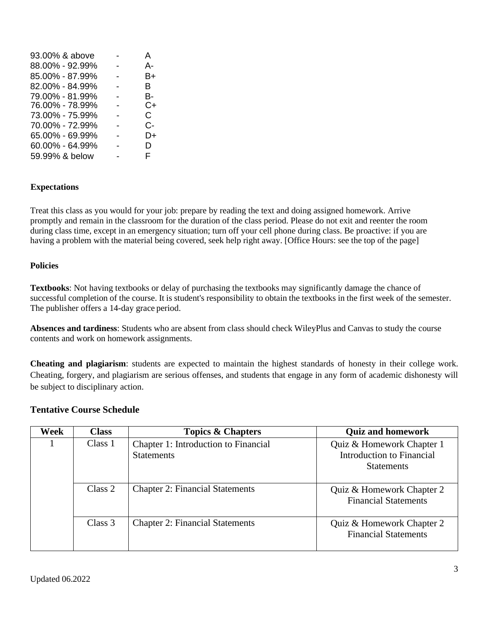| 93.00% & above  | А  |
|-----------------|----|
| 88.00% - 92.99% | А- |
| 85.00% - 87.99% | B+ |
| 82.00% - 84.99% | в  |
| 79.00% - 81.99% | в- |
| 76.00% - 78.99% | C+ |
| 73.00% - 75.99% | C. |
| 70.00% - 72.99% | C- |
| 65.00% - 69.99% | D+ |
| 60.00% - 64.99% | D  |
| 59.99% & below  | F  |
|                 |    |

## **Expectations**

Treat this class as you would for your job: prepare by reading the text and doing assigned homework. Arrive promptly and remain in the classroom for the duration of the class period. Please do not exit and reenter the room during class time, except in an emergency situation; turn off your cell phone during class. Be proactive: if you are having a problem with the material being covered, seek help right away. [Office Hours: see the top of the page]

#### **Policies**

**Textbooks**: Not having textbooks or delay of purchasing the textbooks may significantly damage the chance of successful completion of the course. It is student's responsibility to obtain the textbooks in the first week of the semester. The publisher offers a 14-day grace period.

**Absences and tardiness**: Students who are absent from class should check WileyPlus and Canvas to study the course contents and work on homework assignments.

**Cheating and plagiarism**: students are expected to maintain the highest standards of honesty in their college work. Cheating, forgery, and plagiarism are serious offenses, and students that engage in any form of academic dishonesty will be subject to disciplinary action.

#### **Tentative Course Schedule**

| Week | <b>Class</b> | <b>Topics &amp; Chapters</b>                              | <b>Quiz and homework</b>                                                    |
|------|--------------|-----------------------------------------------------------|-----------------------------------------------------------------------------|
|      | Class 1      | Chapter 1: Introduction to Financial<br><b>Statements</b> | Quiz & Homework Chapter 1<br>Introduction to Financial<br><b>Statements</b> |
|      | Class 2      | <b>Chapter 2: Financial Statements</b>                    | Quiz & Homework Chapter 2<br><b>Financial Statements</b>                    |
|      | Class 3      | <b>Chapter 2: Financial Statements</b>                    | Quiz & Homework Chapter 2<br><b>Financial Statements</b>                    |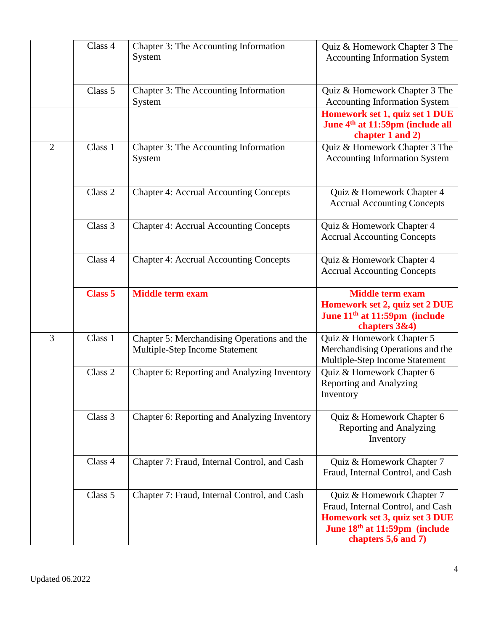|                | Class 4        | Chapter 3: The Accounting Information<br>System                               | Quiz & Homework Chapter 3 The<br><b>Accounting Information System</b>                                                                                    |
|----------------|----------------|-------------------------------------------------------------------------------|----------------------------------------------------------------------------------------------------------------------------------------------------------|
|                | Class 5        | Chapter 3: The Accounting Information<br>System                               | Quiz & Homework Chapter 3 The<br><b>Accounting Information System</b>                                                                                    |
|                |                |                                                                               | Homework set 1, quiz set 1 DUE<br>June 4 <sup>th</sup> at 11:59pm (include all<br>chapter 1 and 2)                                                       |
| $\overline{2}$ | Class 1        | Chapter 3: The Accounting Information<br>System                               | Quiz & Homework Chapter 3 The<br><b>Accounting Information System</b>                                                                                    |
|                | Class 2        | <b>Chapter 4: Accrual Accounting Concepts</b>                                 | Quiz & Homework Chapter 4<br><b>Accrual Accounting Concepts</b>                                                                                          |
|                | Class 3        | <b>Chapter 4: Accrual Accounting Concepts</b>                                 | Quiz & Homework Chapter 4<br><b>Accrual Accounting Concepts</b>                                                                                          |
|                | Class 4        | <b>Chapter 4: Accrual Accounting Concepts</b>                                 | Quiz & Homework Chapter 4<br><b>Accrual Accounting Concepts</b>                                                                                          |
|                | <b>Class 5</b> | <b>Middle term exam</b>                                                       | <b>Middle term exam</b><br>Homework set 2, quiz set 2 DUE<br>June 11 <sup>th</sup> at 11:59pm (include<br>chapters 3&4)                                  |
| 3              | Class 1        | Chapter 5: Merchandising Operations and the<br>Multiple-Step Income Statement | Quiz & Homework Chapter 5<br>Merchandising Operations and the<br>Multiple-Step Income Statement                                                          |
|                | Class 2        | Chapter 6: Reporting and Analyzing Inventory                                  | Quiz & Homework Chapter 6<br><b>Reporting and Analyzing</b><br>Inventory                                                                                 |
|                | Class 3        | Chapter 6: Reporting and Analyzing Inventory                                  | Quiz & Homework Chapter 6<br><b>Reporting and Analyzing</b><br>Inventory                                                                                 |
|                | Class 4        | Chapter 7: Fraud, Internal Control, and Cash                                  | Quiz & Homework Chapter 7<br>Fraud, Internal Control, and Cash                                                                                           |
|                | Class 5        | Chapter 7: Fraud, Internal Control, and Cash                                  | Quiz & Homework Chapter 7<br>Fraud, Internal Control, and Cash<br>Homework set 3, quiz set 3 DUE<br>June 18th at 11:59pm (include<br>chapters 5,6 and 7) |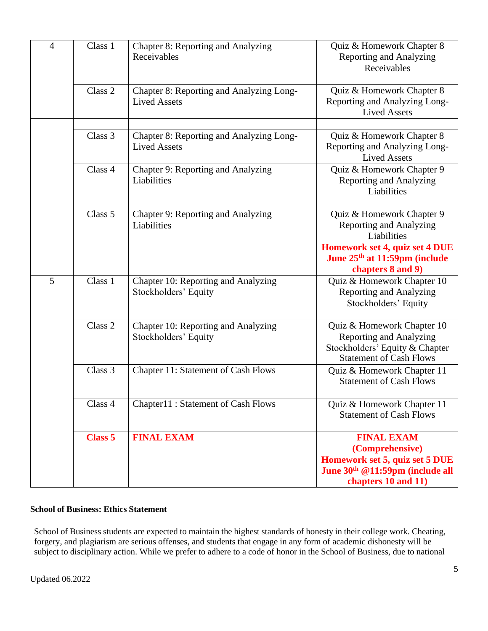| $\overline{4}$ | Class 1        | Chapter 8: Reporting and Analyzing<br>Receivables               | Quiz & Homework Chapter 8<br><b>Reporting and Analyzing</b><br>Receivables                                                                                                     |
|----------------|----------------|-----------------------------------------------------------------|--------------------------------------------------------------------------------------------------------------------------------------------------------------------------------|
|                | Class 2        | Chapter 8: Reporting and Analyzing Long-<br><b>Lived Assets</b> | Quiz & Homework Chapter 8<br>Reporting and Analyzing Long-<br><b>Lived Assets</b>                                                                                              |
|                | Class 3        | Chapter 8: Reporting and Analyzing Long-<br><b>Lived Assets</b> | Quiz & Homework Chapter 8<br>Reporting and Analyzing Long-<br><b>Lived Assets</b>                                                                                              |
|                | Class 4        | Chapter 9: Reporting and Analyzing<br>Liabilities               | Quiz & Homework Chapter 9<br><b>Reporting and Analyzing</b><br>Liabilities                                                                                                     |
|                | Class 5        | Chapter 9: Reporting and Analyzing<br>Liabilities               | Quiz & Homework Chapter 9<br><b>Reporting and Analyzing</b><br>Liabilities<br>Homework set 4, quiz set 4 DUE<br>June 25 <sup>th</sup> at 11:59pm (include<br>chapters 8 and 9) |
| 5              | Class 1        | Chapter 10: Reporting and Analyzing<br>Stockholders' Equity     | Quiz & Homework Chapter 10<br><b>Reporting and Analyzing</b><br>Stockholders' Equity                                                                                           |
|                | Class 2        | Chapter 10: Reporting and Analyzing<br>Stockholders' Equity     | Quiz & Homework Chapter 10<br><b>Reporting and Analyzing</b><br>Stockholders' Equity & Chapter<br><b>Statement of Cash Flows</b>                                               |
|                | Class 3        | <b>Chapter 11: Statement of Cash Flows</b>                      | Quiz & Homework Chapter 11<br><b>Statement of Cash Flows</b>                                                                                                                   |
|                | Class 4        | Chapter11: Statement of Cash Flows                              | Quiz & Homework Chapter 11<br><b>Statement of Cash Flows</b>                                                                                                                   |
|                | <b>Class 5</b> | <b>FINAL EXAM</b>                                               | <b>FINAL EXAM</b><br>(Comprehensive)<br>Homework set 5, quiz set 5 DUE<br>June 30 <sup>th</sup> @11:59pm (include all<br>chapters 10 and 11)                                   |

# **School of Business: Ethics Statement**

School of Business students are expected to maintain the highest standards of honesty in their college work. Cheating, forgery, and plagiarism are serious offenses, and students that engage in any form of academic dishonesty will be subject to disciplinary action. While we prefer to adhere to a code of honor in the School of Business, due to national